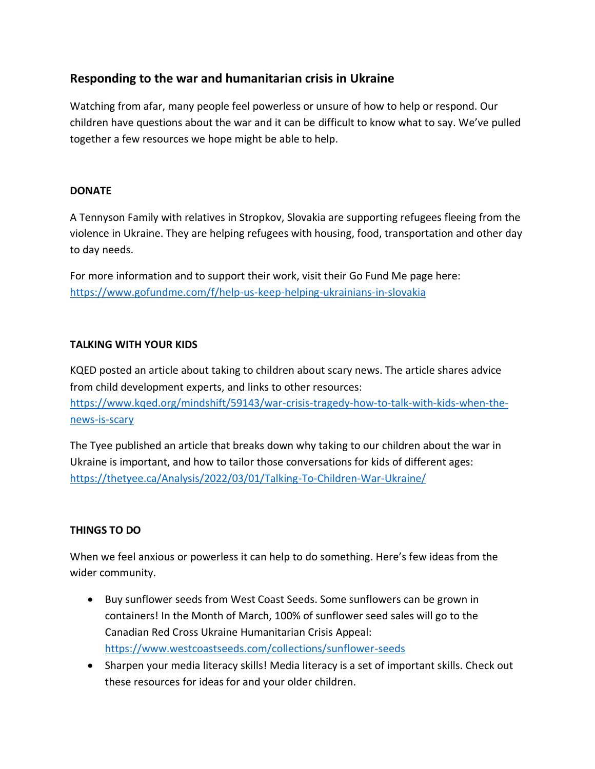# **Responding to the war and humanitarian crisis in Ukraine**

Watching from afar, many people feel powerless or unsure of how to help or respond. Our children have questions about the war and it can be difficult to know what to say. We've pulled together a few resources we hope might be able to help.

#### **DONATE**

A Tennyson Family with relatives in Stropkov, Slovakia are supporting refugees fleeing from the violence in Ukraine. They are helping refugees with housing, food, transportation and other day to day needs.

For more information and to support their work, visit their Go Fund Me page here: <https://www.gofundme.com/f/help-us-keep-helping-ukrainians-in-slovakia>

## **TALKING WITH YOUR KIDS**

KQED posted an article about taking to children about scary news. The article shares advice from child development experts, and links to other resources: [https://www.kqed.org/mindshift/59143/war-crisis-tragedy-how-to-talk-with-kids-when-the](https://www.kqed.org/mindshift/59143/war-crisis-tragedy-how-to-talk-with-kids-when-the-news-is-scary)[news-is-scary](https://www.kqed.org/mindshift/59143/war-crisis-tragedy-how-to-talk-with-kids-when-the-news-is-scary)

The Tyee published an article that breaks down why taking to our children about the war in Ukraine is important, and how to tailor those conversations for kids of different ages: <https://thetyee.ca/Analysis/2022/03/01/Talking-To-Children-War-Ukraine/>

## **THINGS TO DO**

When we feel anxious or powerless it can help to do something. Here's few ideas from the wider community.

- Buy sunflower seeds from West Coast Seeds. Some sunflowers can be grown in containers! In the Month of March, 100% of sunflower seed sales will go to the Canadian Red Cross Ukraine Humanitarian Crisis Appeal: <https://www.westcoastseeds.com/collections/sunflower-seeds>
- Sharpen your media literacy skills! Media literacy is a set of important skills. Check out these resources for ideas for and your older children.